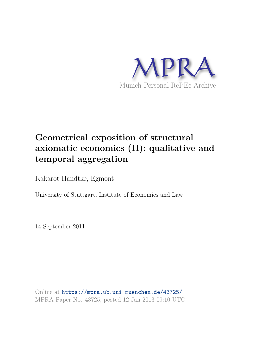

# **Geometrical exposition of structural axiomatic economics (II): qualitative and temporal aggregation**

Kakarot-Handtke, Egmont

University of Stuttgart, Institute of Economics and Law

14 September 2011

Online at https://mpra.ub.uni-muenchen.de/43725/ MPRA Paper No. 43725, posted 12 Jan 2013 09:10 UTC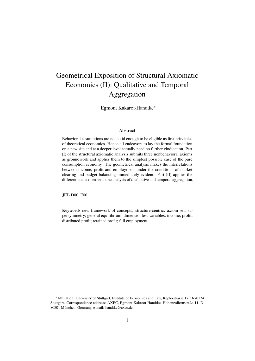# Geometrical Exposition of Structural Axiomatic Economics (II): Qualitative and Temporal Aggregation

Egmont Kakarot-Handtke\*

#### Abstract

Behavioral assumptions are not solid enough to be eligible as first principles of theoretical economics. Hence all endeavors to lay the formal foundation on a new site and at a deeper level actually need no further vindication. Part (I) of the structural axiomatic analysis submits three nonbehavioral axioms as groundwork and applies them to the simplest possible case of the pure consumption economy. The geometrical analysis makes the interrelations between income, profit and employment under the conditions of market clearing and budget balancing immediately evident. Part (II) applies the differentiated axiom set to the analysis of qualitative and temporal aggregation.

JEL D00, E00

Keywords new framework of concepts; structure-centric; axiom set; supersymmetry; general equilibrium; dimensionless variables; income; profit; distributed profit; retained profit; full employment

<sup>\*</sup>Affiliation: University of Stuttgart, Institute of Economics and Law, Keplerstrasse 17, D-70174 Stuttgart. Correspondence address: AXEC, Egmont Kakarot-Handtke, Hohenzollernstraße 11, D-80801 München, Germany, e-mail: handtke@axec.de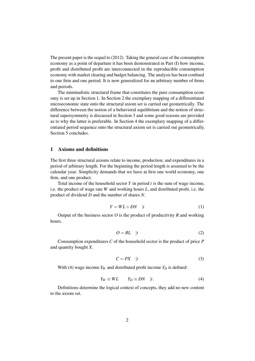The present paper is the sequel to (2012). Taking the general case of the consumption economy as a point of departure it has been demonstrated in Part (I) how income, profit and distributed profit are interconnected in the reproducible consumption economy with market clearing and budget balancing. The analysis has been confined to one firm and one period. It is now generalized for an arbitrary number of firms and periods.

The minimalistic structural frame that constitutes the pure consumption economy is set up in Section 1. In Section 2 the exemplary mapping of a differentiated microeconomic state onto the structural axiom set is carried out geometrically. The difference between the notion of a behavioral equilibrium and the notion of structural supersymmetry is discussed in Section 3 and some good reasons are provided as to why the latter is preferable. In Section 4 the exemplary mapping of a differentiated period sequence onto the structural axiom set is carried out geometrically. Section 5 concludes.

# 1 Axioms and definitions

The first three structural axioms relate to income, production, and expenditures in a period of arbitrary length. For the beginning the period length is assumed to be the calendar year. Simplicity demands that we have at first one world economy, one firm, and one product.

Total income of the household sector *Y* in period *t* is the sum of wage income, i.e. the product of wage rate *W* and working hours *L*, and distributed profit, i.e. the product of dividend *D* and the number of shares *N*.

$$
Y = WL + DN \quad |t \tag{1}
$$

Output of the business sector  $O$  is the product of productivity  $R$  and working hours.

$$
O = RL \quad |t \tag{2}
$$

Consumption expenditures *C* of the household sector is the product of price *P* and quantity bought *X*.

$$
C = PX \quad |t \tag{3}
$$

With (4) wage income  $Y_W$  and distributed profit income  $Y_D$  is defined:

$$
Y_W \equiv WL \qquad Y_D \equiv DN \quad |t. \tag{4}
$$

Definitions determine the logical context of concepts, they add no new content to the axiom set.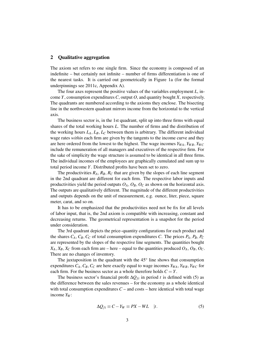#### 2 Qualitative aggregation

The axiom set refers to one single firm. Since the economy is composed of an indefinite – but certainly not infinite – number of firms differentiation is one of the nearest tasks. It is carried out geometrically in Figure 1a (for the formal underpinnings see 2011c, Appendix A).

The four axes represent the positive values of the variables employment *L*, income *Y*, consumption expenditures *C*, output *O*, and quantity bought *X,* respectively. The quadrants are numbered according to the axioms they enclose. The bisecting line in the northwestern quadrant mirrors income from the horizontal to the vertical axis.

The business sector is, in the 1st quadrant, split up into three firms with equal shares of the total working hours *L*. The number of firms and the distribution of the working hours  $L_A$ ,  $L_B$ ,  $L_C$  between them is arbitrary. The different individual wage rates *within* each firm are given by the tangents to the income curve and they are here ordered from the lowest to the highest. The wage incomes  $Y_{WA}$ ,  $Y_{WB}$ ,  $Y_{WC}$ include the remuneration of all managers and executives of the respective firm. For the sake of simplicity the wage structure is assumed to be identical in all three firms. The individual incomes of the employees are graphically cumulated and sum up to total period income *Y*. Distributed profits have been set to zero.

The productivities  $R_A$ ,  $R_B$ ,  $R_C$  that are given by the slopes of each line segment in the 2nd quadrant are different for each firm. The respective labor inputs and productivities yield the period outputs  $O_A$ ,  $O_B$ ,  $O_C$  as shown on the horizontal axis. The outputs are qualitatively different. The magnitude of the different productivities and outputs depends on the unit of measurement, e.g. ounce, liter, piece, square meter, carat, and so on.

It has to be emphasized that the productivities need not be fix for all levels of labor input, that is, the 2nd axiom is compatible with increasing, constant and decreasing returns. The geometrical representation is a snapshot for the period under consideration.

The 3rd quadrant depicts the price–quantity configurations for each product and the shares  $C_A$ ,  $C_B$ ,  $C_C$  of total consumption expenditures *C*. The prices  $P_A$ ,  $P_B$ ,  $P_C$ are represented by the slopes of the respective line segments. The quantities bought  $X_A, X_B, X_C$  from each firm are – here – equal to the quantities produced  $O_A, O_B, O_C$ . There are no changes of inventory.

The juxtaposition in the quadrant with the  $45^\circ$  line shows that consumption expenditures  $C_A$ ,  $C_B$ ,  $C_C$  are here exactly equal to wage incomes  $Y_{WA}$ ,  $Y_{WB}$ ,  $Y_{WC}$  for each firm. For the business sector as a whole therefore holds  $C = Y$ .

The business sector's financial profit  $\Delta Q_{fi}$  in period *t* is defined with (5) as the difference between the sales revenues – for the economy as a whole identical with total consumption expenditures  $C$  – and costs – here identical with total wage income *Y<sup>W</sup>* :

$$
\Delta Q_{fi} \equiv C - Y_W \equiv PX - WL \quad |t. \tag{5}
$$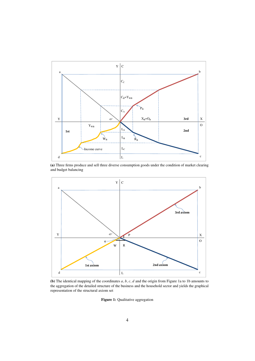

(a) Three firms produce and sell three diverse consumption goods under the condition of market clearing and budget balancing



(b) The identical mapping of the coordinates *a*, *b*, *c*, *d* and the origin from Figure 1a to 1b amounts to the aggregation of the detailed structure of the business and the household sector and yields the graphical representation of the structural axiom set

Figure 1: Qualitative aggregation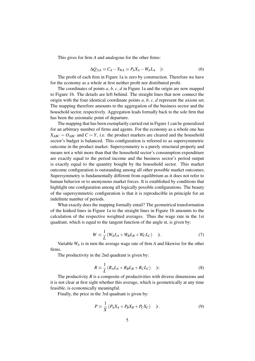This gives for firm *A* and analogous for the other firms:

$$
\Delta Q_{fiA} \equiv C_A - Y_{WA} \equiv P_A X_A - W_A L_A \quad |t. \tag{6}
$$

The profit of each firm in Figure 1a is zero by construction. Therefore we have for the economy as a whole at first neither profit nor distributed profit.

The coordinates of points *a*, *b*, *c*, *d* in Figure 1a and the origin are now mapped to Figure 1b. The details are left behind. The straight lines that now connect the origin with the four identical coordinate points *a*, *b*, *c*, *d* represent the axiom set. The mapping therefore amounts to the aggregation of the business sector and the household sector, respectively. Aggregation leads formally back to the sole firm that has been the axiomatic point of departure.

The mapping that has been exemplarily carried out in Figure 1 can be generalized for an arbitrary number of firms and agents. For the economy as a whole one has  $X_{ABC} = O_{ABC}$  and  $C = Y$ , i.e. the product markets are cleared and the household sector's budget is balanced. This configuration is referred to as supersymmetric outcome in the product market. Supersymmetry is a purely structural property and means not a whit more than that the household sector's consumption expenditure are exactly equal to the period income and the business sector's period output is exactly equal to the quantity bought by the household sector. This market outcome configuration is outstanding among all other possible market outcomes. Supersymmetry is fundamentally different from equilibrium as it does not refer to human behavior or to anonymous market forces. It is established by conditions that highlight one configuration among all logically possible configurations. The beauty of the supersymmetric configuration is that it is reproducible in principle for an indefinite number of periods.

What exactly does the mapping formally entail? The geometrical transformation of the kinked lines in Figure 1a to the straight lines in Figure 1b amounts to the calculation of the respective weighted averages. Thus the wage rate in the 1st quadrant, which is equal to the tangent function of the angle  $\alpha$ , is given by:

$$
W \equiv \frac{1}{L} \left( W_A L_A + W_B L_B + W_C L_C \right) \quad |t. \tag{7}
$$

Variable *W<sup>A</sup>* is in turn the average wage rate of firm *A* and likewise for the other firms.

The productivity in the 2nd quadrant is given by:

$$
R \equiv \frac{1}{L} \left( R_A L_A + R_B L_B + R_C L_C \right) \quad |t. \tag{8}
$$

The productivity *R* is a composite of productivities with diverse dimensions and it is not clear at first sight whether this average, which is geometrically at any time feasible, is economically meaningful.

Finally, the price in the 3rd quadrant is given by:

$$
P \equiv \frac{1}{X} \left( P_A X_A + P_B X_B + P_C X_C \right) \quad |t. \tag{9}
$$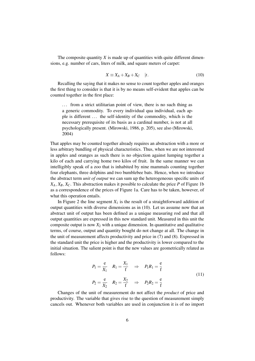The composite quantity *X* is made up of quantities with quite different dimensions, e.g. number of cars, liters of milk, and square meters of carpet:

$$
X \equiv X_A + X_B + X_C \quad |t. \tag{10}
$$

Recalling the saying that it makes no sense to count together apples and oranges the first thing to consider is that it is by no means self-evident that apples can be counted together in the first place:

... from a strict utilitarian point of view, there is no such thing as a generic commodity. To every individual qua individual, each apple is different . . . the self-identity of the commodity, which is the necessary prerequisite of its basis as a cardinal number, is not at all psychologically present. (Mirowski, 1986, p. 205), see also (Mirowski, 2004)

That apples may be counted together already requires an abstraction with a more or less arbitrary bundling of physical characteristics. Thus, when we are not interested in apples and oranges as such there is no objection against lumping together a kilo of each and carrying home two kilos of fruit. In the same manner we can intelligibly speak of a zoo that is inhabited by nine mammals counting together four elephants, three dolphins and two bumblebee bats. Hence, when we introduce the abstract term *unit of output* we can sum up the heterogeneous specific units of  $X_A, X_B, X_C$ . This abstraction makes it possible to calculate the price *P* of Figure 1b as a correspondence of the prices of Figure 1a. Care has to be taken, however, of what this operation entails.

In Figure 2 the line segment  $X_1$  is the result of a straightforward addition of output quantities with diverse dimensions as in (10). Let us assume now that an abstract unit of output has been defined as a unique measuring rod and that all output quantities are expressed in this new standard unit. Measured in this unit the composite output is now  $X_2$  with a unique dimension. In quantitative and qualitative terms, of course, output and quantity bought do not change at all. The change in the unit of measurement affects productivity and price in (7) and (8). Expressed in the standard unit the price is higher and the productivity is lower compared to the initial situation. The salient point is that the new values are geometrically related as follows:

*X*1

$$
P_1 = \frac{e}{X_1} \quad R_1 = \frac{X_1}{f} \quad \Rightarrow \quad P_1 R_1 = \frac{e}{f}
$$
  

$$
P_2 = \frac{e}{X_2} \quad R_2 = \frac{X_2}{f} \quad \Rightarrow \quad P_2 R_2 = \frac{e}{f}
$$
 (11)

Changes of the unit of measurement do not affect the *product* of price and productivity. The variable that gives rise to the question of measurement simply cancels out. Whenever both variables are used in conjunction it is of no import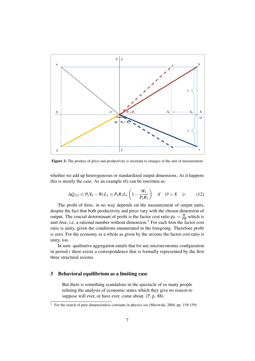

Figure 2: The product of price and productivity is invariant to changes of the unit of measurement

whether we add up heterogeneous or standardized output dimensions. As it happens this is mostly the case. As an example (6) can be rewritten as:

$$
\Delta Q_{fil} \equiv P_1 X_1 - W_1 L_1 \equiv P_1 R_1 L_1 \left( 1 - \frac{W_1}{P_1 R_1} \right) \quad \text{if} \quad O = X \quad |t. \tag{12}
$$

The profit of firm<sub>1</sub> in no way depends on the measurement of output units, despite the fact that both productivity and price vary with the chosen dimension of output. The crucial determinant of profit is the factor cost ratio  $\rho_F = \frac{W}{PR}$  which is unit-free, i.e. a rational number without dimension.<sup>1</sup> For each firm the factor cost ratio is unity, given the conditions enumerated in the foregoing. Therefore profit is zero. For the economy as a whole as given by the axioms the factor cost ratio is unity, too.

In sum: qualitative aggregation entails that for any microeconomic configuration in period *t* there exists a correspondence that is formally represented by the first three structural axioms.

# 3 Behavioral equilibrium as a limiting case

But there is something scandalous in the spectacle of so many people refining the analysis of economic states which they give no reason to suppose will ever, or have ever, come about. (?, p. 88)

 $\frac{1}{1}$  For the search of pure dimensionless constants in physics see (Mirowski, 2004, pp. 158-159)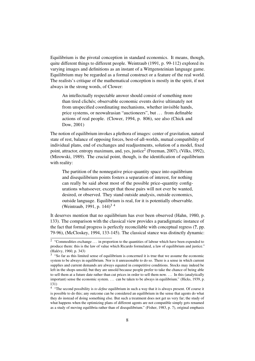Equilibrium is the pivotal conception in standard economics. It means, though, quite different things to different people. Weintraub (1991, p. 99-112) explored its varying images and definitions as an instant of a Wittgensteinian language game. Equilibrium may be regarded as a formal construct or a feature of the real world. The realists's critique of the mathematical conception is mostly in the spirit, if not always in the strong words, of Clower:

An intellectually respectable answer should consist of something more than tired clichés; observable economic events derive ultimately not from unspecified coordinating mechanisms, whether invisible hands, price systems, or neowalrasian "auctioneers", but . . . from definable actions of real people. (Clower, 1994, p. 806), see also (Chick and Dow, 2001)

The notion of equilibrium invokes a plethora of images: center of gravitation, natural state of rest, balance of opposing forces, best-of-all-worlds, mutual compatibility of individual plans, end of exchanges and readjustments, solution of a model, fixed point, attractor, entropy maximum, and, yes, justice<sup>2</sup> (Freeman, 2007), (Vilks, 1992), (Mirowski, 1989). The crucial point, though, is the identification of equilibrium with reality:

The partition of the nonnegative price-quantity space into equilibrium and disequilibrium points fosters a separation of interest, for nothing can really be said about most of the possible price–quantity configurations whatsoever, except that those pairs will not ever be wanted, desired, or observed. They stand outside analysis, outside economics, outside language. Equilibrium is real, for it is potentially observable. (Weintraub, 1991, p. 144)<sup>34</sup>

It deserves mention that no equilibrium has ever been observed (Hahn, 1980, p. 133). The comparison with the classical view provides a paradigmatic instance of the fact that formal progress is perfectly reconcilable with conceptual regress (?, pp. 79-96), (McCloskey, 1994, 133-145). The classical stance was distinctly dynamic:

<sup>&</sup>lt;sup>2</sup> "Commodities exchange  $\dots$  in proportion to the quantities of labour which have been expended to produce them: this is the law of value which Ricardo formulated, a law of equilibrium and justice." (Halévy, 1960, p. 343)

<sup>&</sup>lt;sup>3</sup> "So far as this limited sense of equilibrium is concerned it is true that we assume the economic system to be always in equilibrium. Nor is it unreasonable to do so. There is a sense in which current supplies and current demands are always equated in competitive conditions. Stocks may indeed be left in the shops unsold; but they are unsold because people prefer to take the chance of being able to sell them at a future date rather than cut prices in order to sell them now. . . . In this (analytically important) sense the economic system. . . . can be taken to be always in equilibrium." (Hicks, 1939, p. 131)

<sup>&</sup>lt;sup>4</sup> "The second possibility is *to define* equilibrium in such a way that it is always present. Of course it is possible to do this; any outcome can be considered an equilibrium in the sense that agents do what they do instead of doing something else. But such a treatment does not get us very far; the study of what happens when the optimizing plans of different agents are not compatible simply gets renamed as a study of moving equilibria rather than of disequilibrium." (Fisher, 1983, p. 7), original emphasis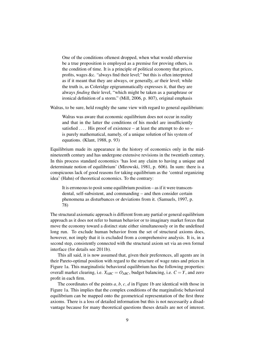One of the conditions oftenest dropped, when what would otherwise be a true proposition is employed as a premise for proving others, is the condition of time. It is a principle of political economy that prices, profits, wages &c. "always find their level;" but this is often interpreted as if it meant that they are always, or generally, *at* their level; while the truth is, as Coleridge epigrammatically expresses it, that they are always *finding* their level, "which might be taken as a paraphrase or ironical definition of a storm." (Mill, 2006, p. 807), original emphasis

Walras, to be sure, held roughly the same view with regard to general equilibrium:

Walras was aware that economic equilibrium does not occur in reality and that in the latter the conditions of his model are insufficiently satisfied  $\dots$ . His proof of existence – at least the attempt to do so – is purely mathematical, namely, of a unique solution of his system of equations. (Klant, 1988, p. 93)

Equilibrium made its appearance in the history of economics only in the midnineteenth century and has undergone extensive revisions in the twentieth century. In this process standard economics 'has lost any claim to having a unique and determinate notion of equilibrium' (Mirowski, 1981, p. 606). In sum: there is a conspicuous lack of good reasons for taking equilibrium as the 'central organizing idea' (Hahn) of theoretical economics. To the contrary:

It is erroneous to posit some equilibrium position – as if it were transcendental, self-subsistent, and commanding – and then consider certain phenomena as disturbances or deviations from it. (Samuels, 1997, p. 78)

The structural axiomatic approach is different from any partial or general equilibrium approach as it does not refer to human behavior or to imaginary market forces that move the economy toward a distinct state either simultaneously or in the undefined long run. To exclude human behavior from the set of structural axioms does, however, not imply that it is excluded from a comprehensive analysis. It is, in a second step, consistently connected with the structural axiom set via an own formal interface (for details see 2011b).

This all said, it is now assumed that, given their preferences, all agents are in their Pareto-optimal position with regard to the structure of wage rates and prices in Figure 1a. This marginalistic behavioral equilibrium has the following properties: overall market clearing, i.e.  $X_{ABC} = O_{ABC}$ , budget balancing, i.e.  $C = Y$ , and zero profit in each firm.

The coordinates of the points *a*, *b*, *c*, *d* in Figure 1b are identical with those in Figure 1a. This implies that the complex conditions of the marginalistic behavioral equilibrium can be mapped onto the geometrical representation of the first three axioms. There is a loss of detailed information but this is not necessarily a disadvantage because for many theoretical questions theses details are not of interest.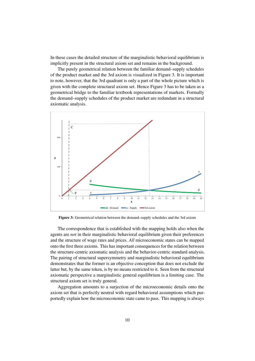In these cases the detailed structure of the marginalistic behavioral equilibrium is implicitly present in the structural axiom set and remains in the background.

The purely geometrical relation between the familiar demand–supply schedules of the product market and the 3rd axiom is visualized in Figure 3. It is important to note, however, that the 3rd quadrant is only a part of the whole picture which is given with the complete structural axiom set. Hence Figure 3 has to be taken as a geometrical bridge to the familiar textbook representations of markets. Formally the demand–supply schedules of the product market are redundant in a structural axiomatic analysis.



Figure 3: Geometrical relation between the demand–supply schedules and the 3rd axiom

The correspondence that is established with the mapping holds also when the agents are *not* in their marginalistic behavioral equilibrium given their preferences and the structure of wage rates and prices. *All* microeconomic states can be mapped onto the first three axioms. This has important consequences for the relation between the structure-centric axiomatic analysis and the behavior-centric standard analysis. The pairing of structural supersymmetry and marginalistic behavioral equilibrium demonstrates that the former is an objective conception that does not exclude the latter but, by the same token, is by no means restricted to it. Seen from the structural axiomatic perspective a marginalistic general equilibrium is a limiting case. The structural axiom set is truly general.

Aggregation amounts to a surjection of the microeconomic details onto the axiom set that is perfectly neutral with regard behavioral assumptions which purportedly explain how the microeconomic state came to pass. This mapping is always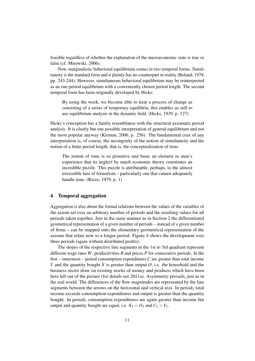feasible regardless of whether the explanation of the microeconomic state is true or false (cf. Mirowski, 2006).

Now, marginalistic behavioral equilibrium comes in two temporal forms. Simultaneity is the standard form and it plainly has no counterpart in reality (Boland, 1978, pp. 243-244). However, simultaneous behavioral equilibrium may be reinterpreted as an one-period equilibrium with a conveniently chosen period length. The second temporal form has been originally developed by Hicks:

By using the week, we become able to treat a process of change as consisting of a series of temporary equilibria; this enables us still to use equilibrium analysis in the dynamic field. (Hicks, 1939, p. 127)

Hicks's conception has a family resemblance with the structural axiomatic period analysis. It is clearly but one possible interpretation of general equilibrium and not the most popular anyway (Kirman, 2006, p. 256). The fundamental crux of any interpretation is, of course, the incongruity of the notion of simultaneity and the notion of a finite period length, that is, the conceptualization of time:

The notion of time is so primitive and basic an element in man's experience that its neglect by much economic theory constitutes an incredible puzzle. This puzzle is attributable, perhaps, to the almost irresistible lure of formalism – particularly one that cannot adequately handle time. (Rizzo, 1979, p. 1)

### 4 Temporal aggregation

Aggregation is also about the formal relations between the values of the variables of the axiom set over an arbitrary number of periods and the resulting values for all periods taken together. Just in the same manner as in Section 2 the differentiated geometrical representation of a given number of periods – instead of a given number of firms – can be mapped onto the elementary geometrical representation of the axioms that relate now to a longer period. Figure 4 shows the development over three periods (again without distributed profits).

The slopes of the respective line segments in the 1st to 3rd quadrant represent different wage rates *W*, productivities *R* and prices *P* for consecutive periods. In the first – innermost – period consumption expenditures *C* are greater than total income *Y* and the quantity bought *X* is greater than output *O*, i.e. the household and the business sector draw on existing stocks of money and products which have been here left out of the picture (for details see 2011a). Asymmetry prevails, just as in the real world. The differences of the flow magnitudes are represented by the line segments between the arrows on the horizontal and vertical axis. In period<sub>2</sub> total income exceeds consumption expenditures and output is greater than the quantity bought. In period<sub>3</sub> consumption expenditures are again greater than income but output and quantity bought are equal, i.e.  $X_3 = O_3$  and  $C_3 > Y_3$ .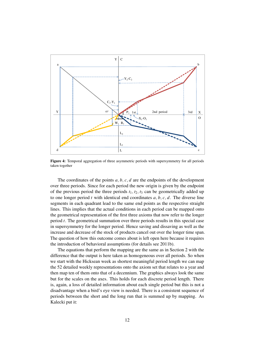

Figure 4: Temporal aggregation of three asymmetric periods with supersymmetry for all periods taken together

The coordinates of the points  $a, b, c, d$  are the endpoints of the development over three periods. Since for each period the new origin is given by the endpoint of the previous period the three periods  $t_1, t_2, t_3$  can be geometrically added up to one longer period *t* with identical end coordinates *a*, *b*, *c*, *d*. The diverse line segments in each quadrant lead to the same end points as the respective straight lines. This implies that the actual conditions in each period can be mapped onto the geometrical representation of the first three axioms that now refer to the longer period *t*. The geometrical summation over three periods results in this special case in supersymmetry for the longer period. Hence saving and dissaving as well as the increase and decrease of the stock of products cancel out over the longer time span. The question of how this outcome comes about is left open here because it requires the introduction of behavioral assumptions (for details see 2011b).

The equations that perform the mapping are the same as in Section 2 with the difference that the output is here taken as homogeneous over all periods. So when we start with the Hicksean week as shortest meaningful period length we can map the 52 detailed weekly representations onto the axiom set that relates to a year and then map ten of them onto that of a decennium. The graphics always look the same but for the scales on the axes. This holds for each discrete period length. There is, again, a loss of detailed information about each single period but this is not a disadvantage when a bird's eye view is needed. There is a consistent sequence of periods between the short and the long run that is summed up by mapping. As Kalecki put it: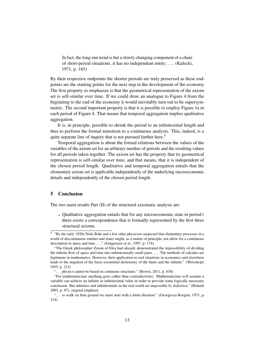In fact, the long-run trend is but a slowly changing component of a chain of short-period situations, it has no independent entity; . . . (Kalecki, 1971, p. 165)

By their respective endpoints the shorter periods are truly preserved as these endpoints are the starting points for the next step in the development of the economy. The first property to emphasize is that the geometrical representation of the axiom set is self-similar over time. If we could draw an analogue to Figure 4 from the beginning to the end of the economy it would inevitably turn out to be supersymmetric. The second important property is that it is possible to employ Figure 1a in each period of Figure 4. That means that temporal aggregation implies qualitative aggregation.

It is, in principle, possible to shrink the period to an infinitesimal length and thus to perform the formal transition to a continuous analysis. This, indeed, is a quite separate line of inquiry that is not pursued further here.<sup>5</sup>

Temporal aggregation is about the formal relations between the values of the variables of the axiom set for an arbitrary number of periods and the resulting values for all periods taken together. The axiom set has the property that its geometrical representation is self-similar over time, and that means, that it is independent of the chosen period length. Qualitative and temporal aggregation entails that the elementary axiom set is applicable independently of the underlying microeconomic details and independently of the chosen period length.

# 5 Conclusion

The two main results Part (II) of the structural axiomatic analysis are:

• Qualitative aggregation entails that for any microeconomic state in period *t* there exists a correspondence that is formally represented by the first three structural axioms.

<sup>&</sup>lt;sup>5</sup> "By the early 1920s Niels Bohr and a few other physicists suspected that elementary processes in a world of discontinuous entities and states might, as a matter of principle, not allow for a continuous description in space and time ...." (Gingerezer et al., 1997, p. 174)

<sup>&</sup>quot;The Greek philosopher Zenon of Elea had already demonstrated the impossibility of dividing the infinite flow of space and time into infinitesimally small parts. . . . The methods of calculus are legitimate in mathematics. However, their application to real situations in economics and elsewhere leads to the negation of the basic existential dichotomy of the finite and the infinite." (Weisskopf, 1955, p. 212)

<sup>&</sup>quot;... physics cannot be based on continous structures." (Brown, 2011, p. 630)

<sup>&</sup>quot;For mathematicians anything goes (other than contradictions). Mathematicians will assume a variable can achieve an infinite or infinitesimal value in order to provide some logically necessary conclusion. But infinities and infinitesimals in the real world are impossible *by definition*." (Boland, 2003, p. 87), original emphasis

<sup>&</sup>quot;. . . to walk on firm ground we must start with a finite duration." (Georgescu-Roegen, 1971, p. 214)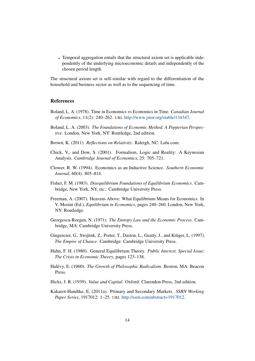• Temporal aggregation entails that the structural axiom set is applicable independently of the underlying microeconomic details and independently of the chosen period length.

The structural axiom set is self-similar with regard to the differentiation of the household and business sector as well as to the sequencing of time.

# References

- Boland, L. A. (1978). Time in Economics vs Economics in Time. *Canadian Journal of Economics*, 11(2): 240–262. URL http://www.jstor.org/stable/134347.
- Boland, L. A. (2003). *The Foundations of Economic Method. A Popperian Perspective.* London, New York, NY: Routledge, 2nd edition.
- Brown, K. (2011). *Reflections on Relativity*. Raleigh, NC: Lulu.com.
- Chick, V., and Dow, S. (2001). Formalism, Logic and Reality: A Keynesian Analysis. *Cambridge Journal of Economics*, 25: 705–721.
- Clower, R. W. (1994). Economics as an Inductive Science. *Southern Economic Journal*, 60(4): 805–814.
- Fisher, F. M. (1983). *Disequilibrium Foundations of Equilibrium Economics*. Cambridge, New York, NY, etc.: Cambridge University Press.
- Freeman, A. (2007). Heavens Above: What Equilibrium Means for Economics. In V. Mosini (Ed.), *Equilibrium in Economics*, pages 240–260. London, New York, NY: Routledge.
- Georgescu-Roegen, N. (1971). *The Entropy Law and the Economic Process*. Cambridge, MA: Cambridge University Press.
- Gingerezer, G., Swijtink, Z., Porter, T., Daston, L., Geatty, J., and Krüger, L. (1997). *The Empire of Chance*. Cambridge: Cambridge University Press.
- Hahn, F. H. (1980). General Equilibrium Theory. *Public Interest. Special Issue: The Crisis in Economic Theory*, pages 123–138.
- Halévy, E. (1960). *The Growth of Philosophic Radicalism*. Boston, MA: Beacon Press.
- Hicks, J. R. (1939). *Value and Capital*. Oxford: Clarendon Press, 2nd edition.
- Kakarot-Handtke, E. (2011a). Primary and Secondary Markets. *SSRN Working Paper Series*, 1917012: 1–25. URL http://ssrn.com/abstract=1917012.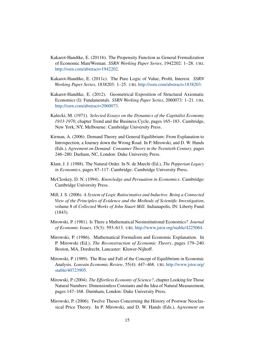- Kakarot-Handtke, E. (2011b). The Propensity Function as General Formalization of Economic Man/Woman. *SSRN Working Paper Series*, 1942202: 1–28. URL http://ssrn.com/abstract=1942202.
- Kakarot-Handtke, E. (2011c). The Pure Logic of Value, Profit, Interest. *SSRN Working Paper Series*, 1838203: 1–25. URL http://ssrn.com/abstract=1838203.
- Kakarot-Handtke, E. (2012). Geometrical Exposition of Structural Axiomatic Economics (I): Fundamentals. *SSRN Working Paper Series*, 2060073: 1–21. URL http://ssrn.com/abstract=2060073.
- Kalecki, M. (1971). *Selected Essays on the Dynamics of the Capitalist Economy 1933-1970*, chapter Trend and the Business Cycle, pages 165–183. Cambridge, New York, NY, Melbourne: Cambridge University Press.
- Kirman, A. (2006). Demand Theory and General Equilibrium: From Explanation to Introspection, a Journey down the Wrong Road. In P. Mirowski, and D. W. Hands (Eds.), *Agreement on Demand: Consumer Theory in the Twentieth Century*, pages 246–280. Durham, NC, London: Duke University Press.
- Klant, J. J. (1988). The Natural Order. In N. de Marchi (Ed.), *The Popperian Legacy in Economics*, pages 87–117. Cambridge: Cambridge University Press.
- McCloskey, D. N. (1994). *Knowledge and Persuation in Economics*. Cambridge: Cambridge University Press.
- Mill, J. S. (2006). *A System of Logic Ratiocinative and Inductive. Being a Connected View of the Principles of Evidence and the Methods of Scientific Investigation*, volume 8 of *Collected Works of John Stuart Mill*. Indianapolis, IN: Liberty Fund. (1843).
- Mirowski, P. (1981). Is There a Mathematical Neoinstitutional Economics? *Journal of Economic Issues*, 15(3): 593–613. URL http://www.jstor.org/stable/4225064.
- Mirowski, P. (1986). Mathematical Formalism and Economic Explanation. In P. Mirowski (Ed.), *The Reconstruction of Economic Theory*, pages 179–240. Boston, MA, Dordrecht, Lancaster: Kluwer-Nijhoff.
- Mirowski, P. (1989). The Rise and Fall of the Concept of Equilibrium in Economic Analysis. *Louvain Economic Review*, 55(4): 447–468. URL http://www.jstor.org/ stable/40723905.
- Mirowski, P. (2004). *The Effortless Economy of Science?*, chapter Looking for Those Natural Numbers: Dimensionless Constants and the Idea of Natural Measurement, pages 147–168. Durnham, London: Duke University Press.
- Mirowski, P. (2006). Twelve Theses Concerning the History of Postwar Neoclassical Price Theory. In P. Mirowski, and D. W. Hands (Eds.), *Agreement on*